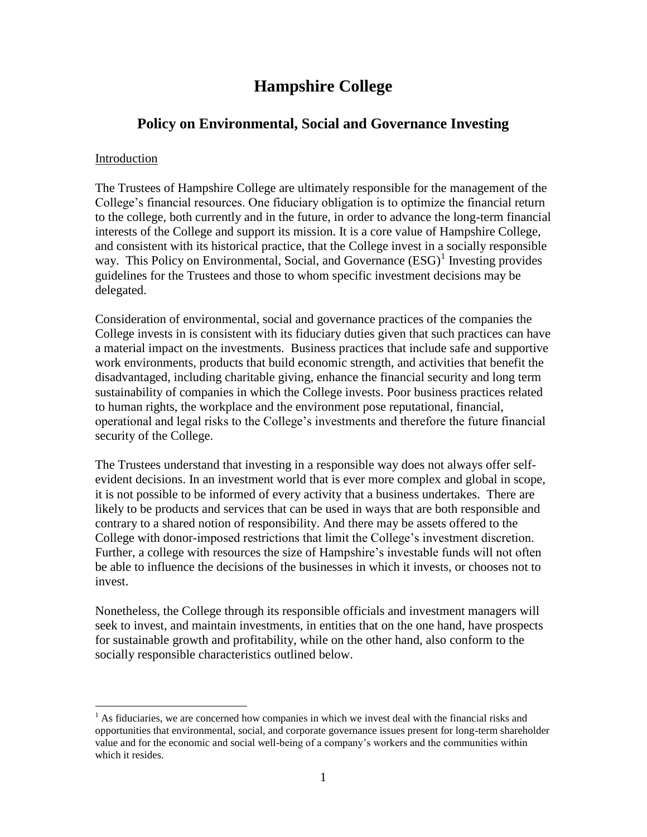# **Hampshire College**

## **Policy on Environmental, Social and Governance Investing**

#### Introduction

 $\overline{a}$ 

The Trustees of Hampshire College are ultimately responsible for the management of the College's financial resources. One fiduciary obligation is to optimize the financial return to the college, both currently and in the future, in order to advance the long-term financial interests of the College and support its mission. It is a core value of Hampshire College, and consistent with its historical practice, that the College invest in a socially responsible way. This Policy on Environmental, Social, and Governance (ESG)<sup>1</sup> Investing provides guidelines for the Trustees and those to whom specific investment decisions may be delegated.

Consideration of environmental, social and governance practices of the companies the College invests in is consistent with its fiduciary duties given that such practices can have a material impact on the investments. Business practices that include safe and supportive work environments, products that build economic strength, and activities that benefit the disadvantaged, including charitable giving, enhance the financial security and long term sustainability of companies in which the College invests. Poor business practices related to human rights, the workplace and the environment pose reputational, financial, operational and legal risks to the College's investments and therefore the future financial security of the College.

The Trustees understand that investing in a responsible way does not always offer selfevident decisions. In an investment world that is ever more complex and global in scope, it is not possible to be informed of every activity that a business undertakes. There are likely to be products and services that can be used in ways that are both responsible and contrary to a shared notion of responsibility. And there may be assets offered to the College with donor-imposed restrictions that limit the College's investment discretion. Further, a college with resources the size of Hampshire's investable funds will not often be able to influence the decisions of the businesses in which it invests, or chooses not to invest.

Nonetheless, the College through its responsible officials and investment managers will seek to invest, and maintain investments, in entities that on the one hand, have prospects for sustainable growth and profitability, while on the other hand, also conform to the socially responsible characteristics outlined below.

 $<sup>1</sup>$  As fiduciaries, we are concerned how companies in which we invest deal with the financial risks and</sup> opportunities that environmental, social, and corporate governance issues present for long-term shareholder value and for the economic and social well-being of a company's workers and the communities within which it resides.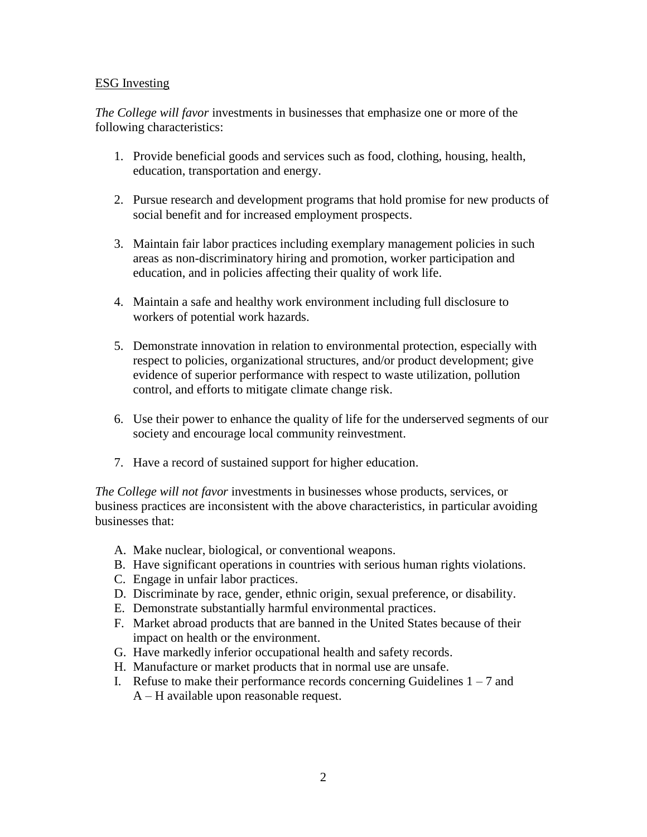#### ESG Investing

*The College will favor* investments in businesses that emphasize one or more of the following characteristics:

- 1. Provide beneficial goods and services such as food, clothing, housing, health, education, transportation and energy.
- 2. Pursue research and development programs that hold promise for new products of social benefit and for increased employment prospects.
- 3. Maintain fair labor practices including exemplary management policies in such areas as non-discriminatory hiring and promotion, worker participation and education, and in policies affecting their quality of work life.
- 4. Maintain a safe and healthy work environment including full disclosure to workers of potential work hazards.
- 5. Demonstrate innovation in relation to environmental protection, especially with respect to policies, organizational structures, and/or product development; give evidence of superior performance with respect to waste utilization, pollution control, and efforts to mitigate climate change risk.
- 6. Use their power to enhance the quality of life for the underserved segments of our society and encourage local community reinvestment.
- 7. Have a record of sustained support for higher education.

*The College will not favor* investments in businesses whose products, services, or business practices are inconsistent with the above characteristics, in particular avoiding businesses that:

- A. Make nuclear, biological, or conventional weapons.
- B. Have significant operations in countries with serious human rights violations.
- C. Engage in unfair labor practices.
- D. Discriminate by race, gender, ethnic origin, sexual preference, or disability.
- E. Demonstrate substantially harmful environmental practices.
- F. Market abroad products that are banned in the United States because of their impact on health or the environment.
- G. Have markedly inferior occupational health and safety records.
- H. Manufacture or market products that in normal use are unsafe.
- I. Refuse to make their performance records concerning Guidelines  $1 7$  and A – H available upon reasonable request.